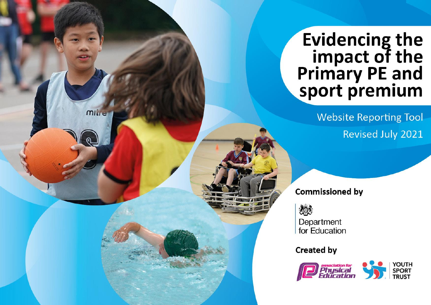## Evidencing the<br>impact of the<br>Primary PE and<br>sport premium

**Website Reporting Tool** Revised July 2021

**Commissioned by** 

怨

**MILLE** 

Department for Education

**Created by** 

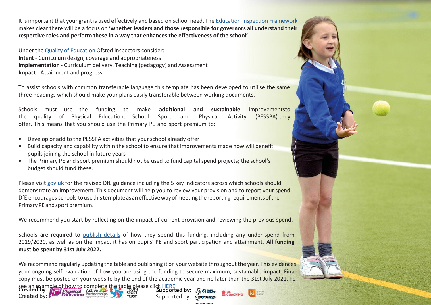It isimportant that your grant is used effectively and based on school need. The Education Inspection Framework makes clear there will be a focus on **'whether leaders and those responsible for governors all understand their respective roles and perform these in a way that enhances the effectiveness of the school'**.

Under the Quality of Education Ofsted inspectors consider: **Intent** - Curriculum design, coverage and appropriateness **Implementation** - Curriculum delivery, Teaching (pedagogy) and Assessment **Impact** - Attainment and progress

To assist schools with common transferable language this template has been developed to utilise the same three headings which should make your plans easily transferable between working documents.

Schools must use the funding to make **additional and sustainable** improvementsto the quality of Physical Education, School Sport and Physical Activity (PESSPA) they offer. This means that you should use the Primary PE and sport premium to:

• Develop or add to the PESSPA activities that your school already offer

Created by: **Education Partnerships Creation** Supported by:

- Build capacity and capability within the school to ensure that improvements made now will benefit pupils joining the school in future years
- The Primary PE and sport premium should not be used to fund capital spend projects; the school's budget should fund these.

Please visit gov.uk for the revised DfE guidance including the 5 key indicators across which schools should demonstrate an improvement. This document will help you to review your provision and to report your spend. DfE encourages schools to use this template as an effective way of meeting the reporting requirements of the Primary PE and sport premium.

We recommend you start by reflecting on the impact of current provision and reviewing the previous spend.

Schools are required to publish details of how they spend this funding, including any under-spend from 2019/2020, as well as on the impact it has on pupils' PE and sport participation and attainment. **All funding must be spent by 31st July 2022.**

We recommend regularly updating the table and publishing it on your website throughout the year. This evidences your ongoing self-evaluation of how you are using the funding to secure maximum, sustainable impact. Final copy must be posted on your website by the end of the academic year and no later than the 31st July 2021. To see an example of how to complete the table please click HERE.

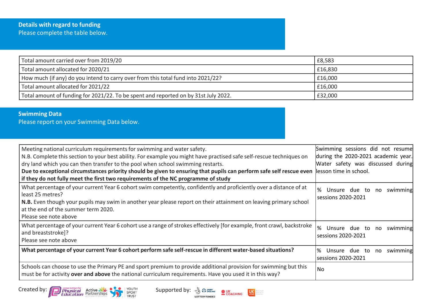## **Details with regard to funding** Please complete the table below.

| Total amount carried over from 2019/20                                              | £8,583  |
|-------------------------------------------------------------------------------------|---------|
| Total amount allocated for 2020/21                                                  | £16,830 |
| How much (if any) do you intend to carry over from this total fund into 2021/22?    | £16,000 |
| Total amount allocated for 2021/22                                                  | £16,000 |
| Total amount of funding for 2021/22. To be spent and reported on by 31st July 2022. | £32,000 |

## **Swimming Data**

Please report on your Swimming Data below.

| Meeting national curriculum requirements for swimming and water safety.<br>N.B. Complete this section to your best ability. For example you might have practised safe self-rescue techniques on<br>dry land which you can then transfer to the pool when school swimming restarts.<br>Due to exceptional circumstances priority should be given to ensuring that pupils can perform safe self rescue even lesson time in school.<br>if they do not fully meet the first two requirements of the NC programme of study | Swimming sessions did not resume<br>during the 2020-2021 academic year.<br>Water safety was discussed during |
|-----------------------------------------------------------------------------------------------------------------------------------------------------------------------------------------------------------------------------------------------------------------------------------------------------------------------------------------------------------------------------------------------------------------------------------------------------------------------------------------------------------------------|--------------------------------------------------------------------------------------------------------------|
| What percentage of your current Year 6 cohort swim competently, confidently and proficiently over a distance of at<br>least 25 metres?<br>N.B. Even though your pupils may swim in another year please report on their attainment on leaving primary school<br>at the end of the summer term 2020.<br>Please see note above                                                                                                                                                                                           | %<br>Unsure due to<br>swimming<br>no<br>sessions 2020-2021                                                   |
| What percentage of your current Year 6 cohort use a range of strokes effectively [for example, front crawl, backstroke<br>and breaststroke]?<br>Please see note above                                                                                                                                                                                                                                                                                                                                                 | %<br>Unsure due to<br>swimming<br>no<br>sessions 2020-2021                                                   |
| What percentage of your current Year 6 cohort perform safe self-rescue in different water-based situations?                                                                                                                                                                                                                                                                                                                                                                                                           | % Unsure due to<br>swimming<br>no<br>sessions 2020-2021                                                      |
| Schools can choose to use the Primary PE and sport premium to provide additional provision for swimming but this<br>must be for activity over and above the national curriculum requirements. Have you used it in this way?                                                                                                                                                                                                                                                                                           | No                                                                                                           |

Created by: Physical Active ACT COUTH Supported by: Supported by: Supported by: Supported by: Supported by: Supported by: Supported by: Supported by: Supported by: Supported by: Supported by: Supported by: Supported by: Su



**LOTTERY FUNDED** 

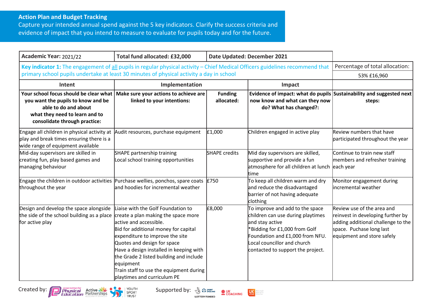## **Action Plan and Budget Tracking**

Capture your intended annual spend against the 5 key indicators. Clarify the success criteria and evidence of impact that you intend to measure to evaluate for pupils today and for the future.

| Academic Year: 2021/22                                                                                                                                                  | Total fund allocated: £32,000                                                                                                                                                                                                                                                                                                                                                               | Date Updated: December 2021  |                                                                                                                                                                                                                                 |                                                                                                                                                                 |
|-------------------------------------------------------------------------------------------------------------------------------------------------------------------------|---------------------------------------------------------------------------------------------------------------------------------------------------------------------------------------------------------------------------------------------------------------------------------------------------------------------------------------------------------------------------------------------|------------------------------|---------------------------------------------------------------------------------------------------------------------------------------------------------------------------------------------------------------------------------|-----------------------------------------------------------------------------------------------------------------------------------------------------------------|
| Key indicator 1: The engagement of all pupils in regular physical activity - Chief Medical Officers guidelines recommend that                                           |                                                                                                                                                                                                                                                                                                                                                                                             |                              | Percentage of total allocation:                                                                                                                                                                                                 |                                                                                                                                                                 |
|                                                                                                                                                                         | primary school pupils undertake at least 30 minutes of physical activity a day in school                                                                                                                                                                                                                                                                                                    |                              |                                                                                                                                                                                                                                 | 53% £16,960                                                                                                                                                     |
| Intent                                                                                                                                                                  | Implementation<br>Impact                                                                                                                                                                                                                                                                                                                                                                    |                              |                                                                                                                                                                                                                                 |                                                                                                                                                                 |
| Your school focus should be clear what<br>you want the pupils to know and be<br>able to do and about<br>what they need to learn and to<br>consolidate through practice: | Make sure your actions to achieve are<br>linked to your intentions:                                                                                                                                                                                                                                                                                                                         | <b>Funding</b><br>allocated: | Evidence of impact: what do pupils Sustainability and suggested next<br>now know and what can they now<br>do? What has changed?:                                                                                                | steps:                                                                                                                                                          |
| Engage all children in physical activity at<br>play and break times ensuring there is a<br>wide range of equipment available                                            | Audit resources, purchase equipment                                                                                                                                                                                                                                                                                                                                                         | £1,000                       | Children engaged in active play                                                                                                                                                                                                 | Review numbers that have<br>participated throughout the year                                                                                                    |
| Mid-day supervisors are skilled in<br>creating fun, play based games and<br>managing behaviour                                                                          | SHAPE partnership training<br>Local school training opportunities                                                                                                                                                                                                                                                                                                                           | <b>SHAPE</b> credits         | Mid day supervisors are skilled,<br>supportive and provide a fun<br>atmosphere for all children at lunch<br>ltime                                                                                                               | Continue to train new staff<br>members and refresher training<br>each year                                                                                      |
| Engage the children in outdoor activities Purchase wellies, ponchos, spare coats $E750$<br>throughout the year                                                          | and hoodies for incremental weather                                                                                                                                                                                                                                                                                                                                                         |                              | To keep all children warm and dry<br>and reduce the disadvantaged<br>barrier of not having adequate<br>clothing                                                                                                                 | Monitor engagement during<br>incremental weather                                                                                                                |
| Design and develop the space alongside<br>the side of the school building as a place<br>for active play                                                                 | Liaise with the Golf Foundation to<br>create a plan making the space more<br>lactive and accessible.<br>Bid for additional money for capital<br>expenditure to improve the site<br>Quotes and design for space<br>Have a design installed in keeping with<br>the Grade 2 listed building and include<br>equipment<br>Train staff to use the equipment during<br>playtimes and curriculum PE | £8,000                       | To improve and add to the space<br>children can use during playtimes<br>and stay active<br>*Bidding for £1,000 from Golf<br>Foundation and £1,000 from NFU.<br>Local councillor and church<br>contacted to support the project. | Review use of the area and<br>reinvest in developing further by<br>adding additional challenge to the<br>space. Puchase long last<br>equipment and store safely |





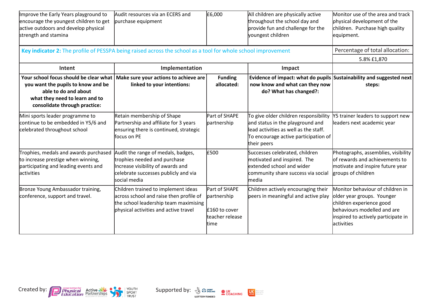| Improve the Early Years playground to<br>encourage the youngest children to get<br>active outdoors and develop physical<br>strength and stamina                         | Audit resources via an ECERS and<br>purchase equipment                                                                                                           | £6,000                                                                    | All children are physically active<br>throughout the school day and<br>provide fun and challenge for the<br>youngest children                                             | Monitor use of the area and track<br>physical development of the<br>children. Purchase high quality<br>equipment.                                                              |
|-------------------------------------------------------------------------------------------------------------------------------------------------------------------------|------------------------------------------------------------------------------------------------------------------------------------------------------------------|---------------------------------------------------------------------------|---------------------------------------------------------------------------------------------------------------------------------------------------------------------------|--------------------------------------------------------------------------------------------------------------------------------------------------------------------------------|
| Key indicator 2: The profile of PESSPA being raised across the school as a tool for whole school improvement                                                            |                                                                                                                                                                  |                                                                           |                                                                                                                                                                           | Percentage of total allocation:                                                                                                                                                |
|                                                                                                                                                                         |                                                                                                                                                                  |                                                                           |                                                                                                                                                                           | 5.8% £1,870                                                                                                                                                                    |
| Intent                                                                                                                                                                  | Implementation                                                                                                                                                   |                                                                           | Impact                                                                                                                                                                    |                                                                                                                                                                                |
| Your school focus should be clear what<br>you want the pupils to know and be<br>able to do and about<br>what they need to learn and to<br>consolidate through practice: | Make sure your actions to achieve are<br>linked to your intentions:                                                                                              | <b>Funding</b><br>allocated:                                              | Evidence of impact: what do pupils Sustainability and suggested next<br>now know and what can they now<br>do? What has changed?:                                          | steps:                                                                                                                                                                         |
| Mini sports leader programme to<br>continue to be embedded in Y5/6 and<br>celebrated throughout school                                                                  | Retain membership of Shape<br>Partnership and affiliate for 3 years<br>ensuring there is continued, strategic<br>focus on PE                                     | Part of SHAPE<br>partnership                                              | To give older children responsibility<br>and status in the playground and<br>lead activities as well as the staff.<br>To encourage active participation of<br>their peers | Y5 trainer leaders to support new<br>leaders next academic year                                                                                                                |
| Trophies, medals and awards purchased<br>to increase prestige when winning,<br>participating and leading events and<br>lactivities                                      | Audit the range of medals, badges,<br>trophies needed and purchase<br>Increase visibility of awards and<br>celebrate successes publicly and via<br>social media  | £500                                                                      | Successes celebrated, children<br>motivated and inspired. The<br>extended school and wider<br>community share success via social<br>media                                 | Photographs, assemblies, visibility<br>of rewards and achievements to<br>motivate and inspire future year<br>groups of children                                                |
| Bronze Young Ambassador training,<br>conference, support and travel.                                                                                                    | Children trained to implement ideas<br>across school and raise then profile of<br>the school leadership team maximising<br>physical activities and active travel | Part of SHAPE<br>partnership<br>£160 to cover<br>teacher release<br>ltime | Children actively encouraging their<br>peers in meaningful and active play                                                                                                | Monitor behaviour of children in<br>older year groups. Younger<br>children experience good<br>behaviours modelled and are<br>inspired to actively participate in<br>activities |

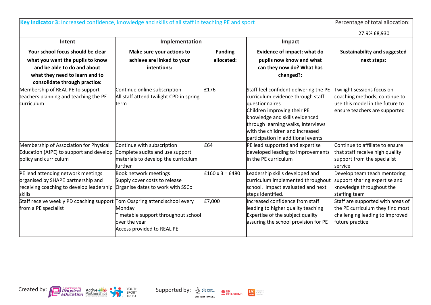| Key indicator 3: Increased confidence, knowledge and skills of all staff in teaching PE and sport                                                                       |                                                                                                                                         |                              | Percentage of total allocation:                                                                                                                                                                                                                                               |                                                                                                                                 |
|-------------------------------------------------------------------------------------------------------------------------------------------------------------------------|-----------------------------------------------------------------------------------------------------------------------------------------|------------------------------|-------------------------------------------------------------------------------------------------------------------------------------------------------------------------------------------------------------------------------------------------------------------------------|---------------------------------------------------------------------------------------------------------------------------------|
|                                                                                                                                                                         |                                                                                                                                         |                              |                                                                                                                                                                                                                                                                               | 27.9% £8,930                                                                                                                    |
| Intent                                                                                                                                                                  | Implementation                                                                                                                          |                              | Impact                                                                                                                                                                                                                                                                        |                                                                                                                                 |
| Your school focus should be clear<br>what you want the pupils to know<br>and be able to do and about<br>what they need to learn and to<br>consolidate through practice: | Make sure your actions to<br>achieve are linked to your<br>intentions:                                                                  | <b>Funding</b><br>allocated: | Evidence of impact: what do<br>pupils now know and what<br>can they now do? What has<br>changed?:                                                                                                                                                                             | Sustainability and suggested<br>next steps:                                                                                     |
| Membership of REAL PE to support<br>teachers planning and teaching the PE<br>curriculum                                                                                 | Continue online subscription<br>All staff attend twilight CPD in spring<br>term                                                         | £176                         | Staff feel confident delivering the PE<br>curriculum evidence through staff<br>questionnaires<br>Children improving their PE<br>knowledge and skills evidenced<br>through learning walks, interviews<br>with the children and increased<br>participation in additional events | Twilight sessions focus on<br>coaching methods; continue to<br>use this model in the future to<br>ensure teachers are supported |
| Membership of Association for Physical<br>Education (AfPE) to support and develop<br>policy and curriculum                                                              | Continue with subscription<br>Complete audits and use support<br>materials to develop the curriculum<br>lfurther                        | £64                          | PE lead supported and expertise<br>developed leading to improvements<br>in the PE curriculum                                                                                                                                                                                  | Continue to affiliate to ensure<br>that staff receive high quality<br>support from the specialist<br>lservice                   |
| PE lead attending network meetings<br>organised by SHAPE partnership and<br>receiving coaching to develop leadership<br><b>skills</b>                                   | <b>Book network meetings</b><br>Supply cover costs to release<br>Organise dates to work with SSCo                                       | $£160 \times 3 = £480$       | Leadership skills developed and<br>curriculum implemented throughout<br>school. Impact evaluated and next<br>steps identified.                                                                                                                                                | Develop team teach mentoring<br>support sharing expertise and<br>knowledge throughout the<br>staffing team                      |
| Staff receive weekly PD coaching support<br>from a PE specialist                                                                                                        | Tom Oxspring attend school every<br>Monday<br>Timetable support throughout school<br>over the year<br><b>Access provided to REAL PE</b> | £7,000                       | Increased confidence from staff<br>leading to higher quality teaching<br>Expertise of the subject quality<br>assuring the school provision for PE                                                                                                                             | Staff are supported with areas of<br>the PE curriculum they find most<br>challenging leading to improved<br>future practice     |





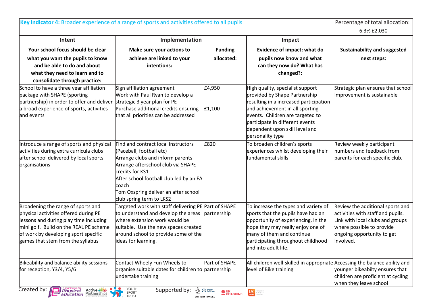| Key indicator 4: Broader experience of a range of sports and activities offered to all pupils |                                                                  |                              |                                                                            | Percentage of total allocation:                                  |
|-----------------------------------------------------------------------------------------------|------------------------------------------------------------------|------------------------------|----------------------------------------------------------------------------|------------------------------------------------------------------|
|                                                                                               |                                                                  |                              |                                                                            | 6.3% £2,030                                                      |
| Intent                                                                                        | Implementation                                                   |                              | Impact                                                                     |                                                                  |
| Your school focus should be clear                                                             | Make sure your actions to                                        | <b>Funding</b>               | Evidence of impact: what do                                                | Sustainability and suggested                                     |
| what you want the pupils to know                                                              | achieve are linked to your                                       | allocated:                   | pupils now know and what                                                   | next steps:                                                      |
| and be able to do and about                                                                   | intentions:                                                      |                              | can they now do? What has                                                  |                                                                  |
| what they need to learn and to                                                                |                                                                  |                              | changed?:                                                                  |                                                                  |
| consolidate through practice:                                                                 |                                                                  |                              |                                                                            |                                                                  |
| School to have a three year affiliation<br>package with SHAPE (sporting                       | Sign affiliation agreement<br>Work with Paul Ryan to develop a   | £4,950                       | High quality, specialist support<br>provided by Shape Partnership          | Strategic plan ensures that school<br>improvement is sustainable |
| partnership) in order to offer and deliver                                                    | strategic 3 year plan for PE                                     |                              | resulting in a increased participation                                     |                                                                  |
| a broad experience of sports, activities                                                      | Purchase additional credits ensuring                             | E1,100                       | and achievement in all sporting                                            |                                                                  |
| and events                                                                                    | that all priorities can be addressed                             |                              | events. Children are targeted to                                           |                                                                  |
|                                                                                               |                                                                  |                              | participate in different events                                            |                                                                  |
|                                                                                               |                                                                  |                              | dependent upon skill level and                                             |                                                                  |
| Introduce a range of sports and physical                                                      | Find and contract local instructors                              | £820                         | personality type<br>To broaden children's sports                           | Review weekly participant                                        |
| activities during extra curricula clubs                                                       | (Paceball, football etc)                                         |                              | experiences whilst developing their                                        | numbers and feedback from                                        |
| after school delivered by local sports                                                        | Arrange clubs and inform parents                                 |                              | fundamental skills                                                         | parents for each specific club.                                  |
| organisations                                                                                 | Arrange afterschool club via SHAPE                               |                              |                                                                            |                                                                  |
|                                                                                               | credits for KS1                                                  |                              |                                                                            |                                                                  |
|                                                                                               | After school football club led by an FA                          |                              |                                                                            |                                                                  |
|                                                                                               | coach                                                            |                              |                                                                            |                                                                  |
|                                                                                               | Tom Oxspring deliver an after school<br>club spring term to LKS2 |                              |                                                                            |                                                                  |
| Broadening the range of sports and                                                            | Targeted work with staff delivering PE Part of SHAPE             |                              | To increase the types and variety of                                       | Review the additional sports and                                 |
| physical activities offered during PE                                                         | to understand and develop the areas                              | partnership                  | sports that the pupils have had an                                         | activities with staff and pupils.                                |
| lessons and during play time including                                                        | where extension work would be                                    |                              | opportunity of experiencing, in the                                        | Link with local clubs and groups                                 |
| mini golf. Build on the REAL PE scheme                                                        | suitable. Use the new spaces created                             |                              | hope they may really enjoy one of                                          | where possible to provide                                        |
| of work by developing sport specific                                                          | around school to provide some of the                             |                              | many of them and continue                                                  | ongoing opportunity to get                                       |
| games that stem from the syllabus                                                             | ideas for learning.                                              |                              | participating throughout childhood                                         | involved.                                                        |
|                                                                                               |                                                                  |                              | and into adult life.                                                       |                                                                  |
| Bikeability and balance ability sessions                                                      | Contact Wheely Fun Wheels to                                     | Part of SHAPE                | All children well-skilled in appropriate Accessing the balance ability and |                                                                  |
| for reception, Y3/4, Y5/6                                                                     | organise suitable dates for children to partnership              |                              | level of Bike training                                                     | younger bikeabilty ensures that                                  |
|                                                                                               | undertake training                                               |                              |                                                                            | children are proficient at cycling                               |
| Created by:<br><b>Finglement Active Me</b><br>Education Partnerships                          | YOUTH<br>SPORT<br>TRUST<br>$\bullet$<br>Supported by:            | <b>CON SPORT</b><br>COACHING | <b>CONTRACTE MERCHANDE</b>                                                 | when they leave school                                           |